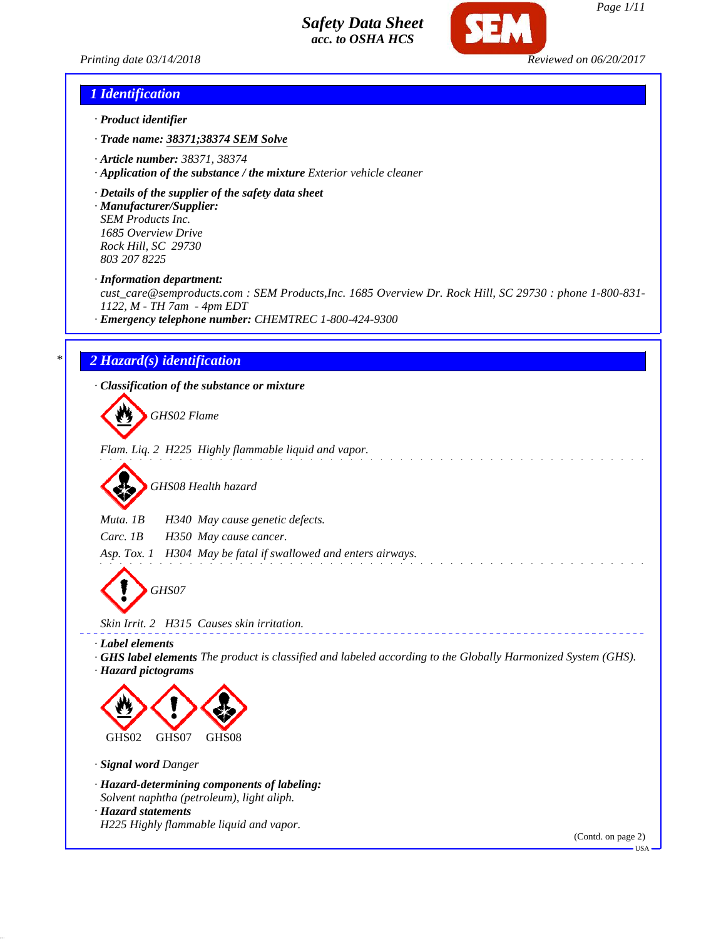



#### *1 Identification*

- *· Product identifier*
- *· Trade name: 38371;38374 SEM Solve*
- *· Article number: 38371, 38374*
- *· Application of the substance / the mixture Exterior vehicle cleaner*
- *· Details of the supplier of the safety data sheet*

*· Manufacturer/Supplier: SEM Products Inc. 1685 Overview Drive Rock Hill, SC 29730 803 207 8225*

*· Information department:*

*cust\_care@semproducts.com : SEM Products,Inc. 1685 Overview Dr. Rock Hill, SC 29730 : phone 1-800-831- 1122, M - TH 7am - 4pm EDT*

*· Emergency telephone number: CHEMTREC 1-800-424-9300*

### *\* 2 Hazard(s) identification*

*· Classification of the substance or mixture*

*GHS02 Flame*

*Flam. Liq. 2 H225 Highly flammable liquid and vapor.*

*GHS08 Health hazard*

*Muta. 1B H340 May cause genetic defects.*

*Carc. 1B H350 May cause cancer.*

*Asp. Tox. 1 H304 May be fatal if swallowed and enters airways.*

*GHS07*

*Skin Irrit. 2 H315 Causes skin irritation.*

*· Label elements*

*· GHS label elements The product is classified and labeled according to the Globally Harmonized System (GHS). · Hazard pictograms*



*· Signal word Danger*

- *· Hazard-determining components of labeling:*
- *Solvent naphtha (petroleum), light aliph.*

*· Hazard statements*

*H225 Highly flammable liquid and vapor.*

(Contd. on page 2)

USA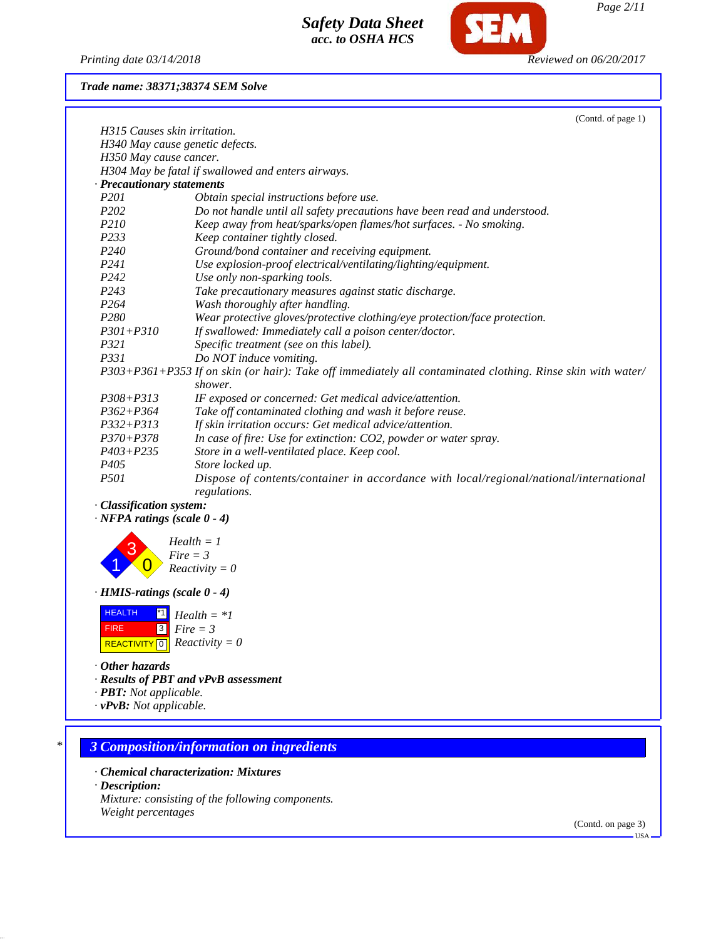

*Printing date 03/14/2018 Reviewed on 06/20/2017*

*Trade name: 38371;38374 SEM Solve*

|                                                                   | (Contd. of page 1)                                                                                          |
|-------------------------------------------------------------------|-------------------------------------------------------------------------------------------------------------|
| H315 Causes skin irritation.                                      |                                                                                                             |
|                                                                   | H340 May cause genetic defects.                                                                             |
| H350 May cause cancer.                                            |                                                                                                             |
|                                                                   | H304 May be fatal if swallowed and enters airways.                                                          |
| · Precautionary statements                                        |                                                                                                             |
| P201                                                              | Obtain special instructions before use.                                                                     |
| P <sub>202</sub>                                                  | Do not handle until all safety precautions have been read and understood.                                   |
| P210                                                              | Keep away from heat/sparks/open flames/hot surfaces. - No smoking.                                          |
| P233                                                              | Keep container tightly closed.                                                                              |
| P240<br>P <sub>241</sub>                                          | Ground/bond container and receiving equipment.                                                              |
| P242                                                              | Use explosion-proof electrical/ventilating/lighting/equipment.                                              |
| P243                                                              | Use only non-sparking tools.<br>Take precautionary measures against static discharge.                       |
| P264                                                              | Wash thoroughly after handling.                                                                             |
| P280                                                              | Wear protective gloves/protective clothing/eye protection/face protection.                                  |
| $P301 + P310$                                                     | If swallowed: Immediately call a poison center/doctor.                                                      |
| <i>P321</i>                                                       | Specific treatment (see on this label).                                                                     |
| P331                                                              | Do NOT induce vomiting.                                                                                     |
|                                                                   | P303+P361+P353 If on skin (or hair): Take off immediately all contaminated clothing. Rinse skin with water/ |
|                                                                   | shower.                                                                                                     |
| $P308 + P313$                                                     | IF exposed or concerned: Get medical advice/attention.                                                      |
| $P362 + P364$                                                     | Take off contaminated clothing and wash it before reuse.                                                    |
| $P332 + P313$                                                     | If skin irritation occurs: Get medical advice/attention.                                                    |
| $P370 + P378$                                                     | In case of fire: Use for extinction: CO2, powder or water spray.                                            |
| $P403 + P235$                                                     | Store in a well-ventilated place. Keep cool.                                                                |
| P <sub>405</sub>                                                  | Store locked up.                                                                                            |
| P501                                                              | Dispose of contents/container in accordance with local/regional/national/international<br>regulations.      |
| · Classification system:<br>$\cdot$ NFPA ratings (scale $0 - 4$ ) |                                                                                                             |
|                                                                   | $Health = 1$                                                                                                |
|                                                                   | $Fire = 3$<br>$Reactivity = 0$                                                                              |
| $\cdot$ HMIS-ratings (scale 0 - 4)                                |                                                                                                             |
| <b>HEALTH</b><br>$^{\ast}$ 1                                      | $Health = *1$                                                                                               |
| $\sqrt{3}$<br><b>FIRE</b>                                         | $Fire = 3$                                                                                                  |
| <b>REACTIVITY</b> 0 <b>Reactivity</b> = 0                         |                                                                                                             |
| • Other hazards                                                   |                                                                                                             |
|                                                                   | · Results of PBT and vPvB assessment                                                                        |
| · <b>PBT</b> : Not applicable.                                    |                                                                                                             |
| $\cdot$ vPvB: Not applicable.                                     |                                                                                                             |
|                                                                   |                                                                                                             |
|                                                                   | <b>3 Composition/information on ingredients</b>                                                             |
|                                                                   |                                                                                                             |
| $\cdot$ Description:                                              | • Chemical characterization: Mixtures                                                                       |
|                                                                   |                                                                                                             |
|                                                                   | Mixture: consisting of the following components.                                                            |

(Contd. on page 3) USA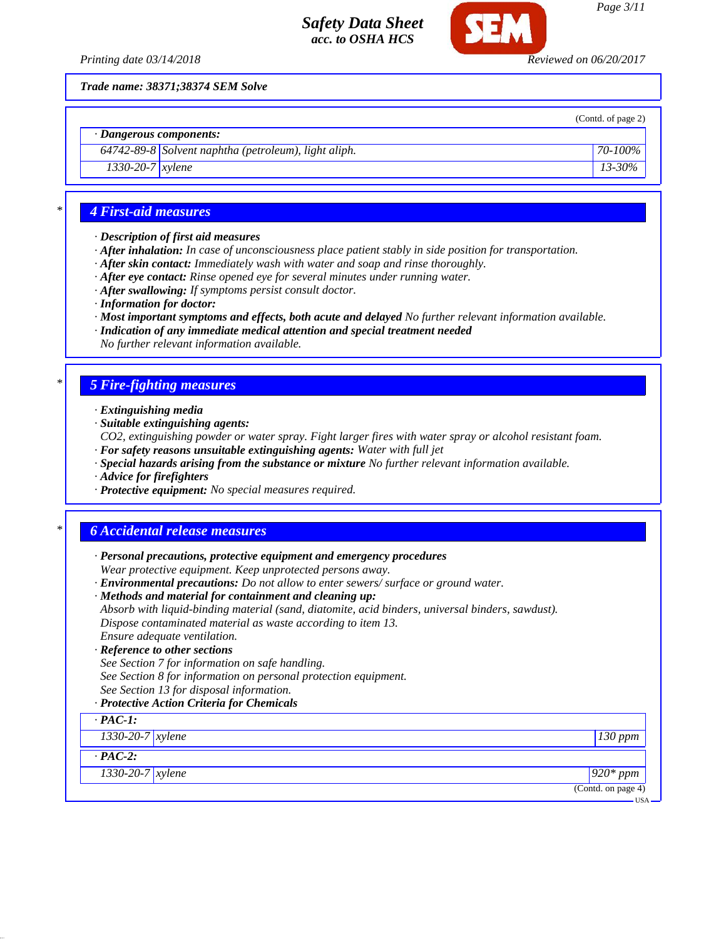

*Page 3/11*

(Contd. of page 2)

*Trade name: 38371;38374 SEM Solve*

*· Dangerous components:*

*64742-89-8 Solvent naphtha (petroleum), light aliph. 70-100% 1330-20-7 xylene 13-30%*

## *\* 4 First-aid measures*

- *· Description of first aid measures*
- *· After inhalation: In case of unconsciousness place patient stably in side position for transportation.*
- *· After skin contact: Immediately wash with water and soap and rinse thoroughly.*
- *· After eye contact: Rinse opened eye for several minutes under running water.*
- *· After swallowing: If symptoms persist consult doctor.*
- *· Information for doctor:*
- *· Most important symptoms and effects, both acute and delayed No further relevant information available.*
- *· Indication of any immediate medical attention and special treatment needed*
- *No further relevant information available.*

## *\* 5 Fire-fighting measures*

- *· Extinguishing media*
- *· Suitable extinguishing agents:*
- *CO2, extinguishing powder or water spray. Fight larger fires with water spray or alcohol resistant foam. · For safety reasons unsuitable extinguishing agents: Water with full jet*
- *· Special hazards arising from the substance or mixture No further relevant information available.*
- *· Advice for firefighters*
- *· Protective equipment: No special measures required.*

## *\* 6 Accidental release measures*

- *· Personal precautions, protective equipment and emergency procedures Wear protective equipment. Keep unprotected persons away. · Environmental precautions: Do not allow to enter sewers/ surface or ground water.*
- *· Methods and material for containment and cleaning up:*
- *Absorb with liquid-binding material (sand, diatomite, acid binders, universal binders, sawdust). Dispose contaminated material as waste according to item 13. Ensure adequate ventilation.*

#### *· Reference to other sections*

- *See Section 7 for information on safe handling.*
- *See Section 8 for information on personal protection equipment.*
- *See Section 13 for disposal information.*

### *· Protective Action Criteria for Chemicals*

| $\cdot$ PAC-1:         |                    |
|------------------------|--------------------|
| $1330-20-7$ xylene     | $130$ ppm          |
| $\cdot$ PAC-2:         |                    |
| $1330 - 20 - 7$ xylene | $920*ppm$          |
|                        | (Contd. on page 4) |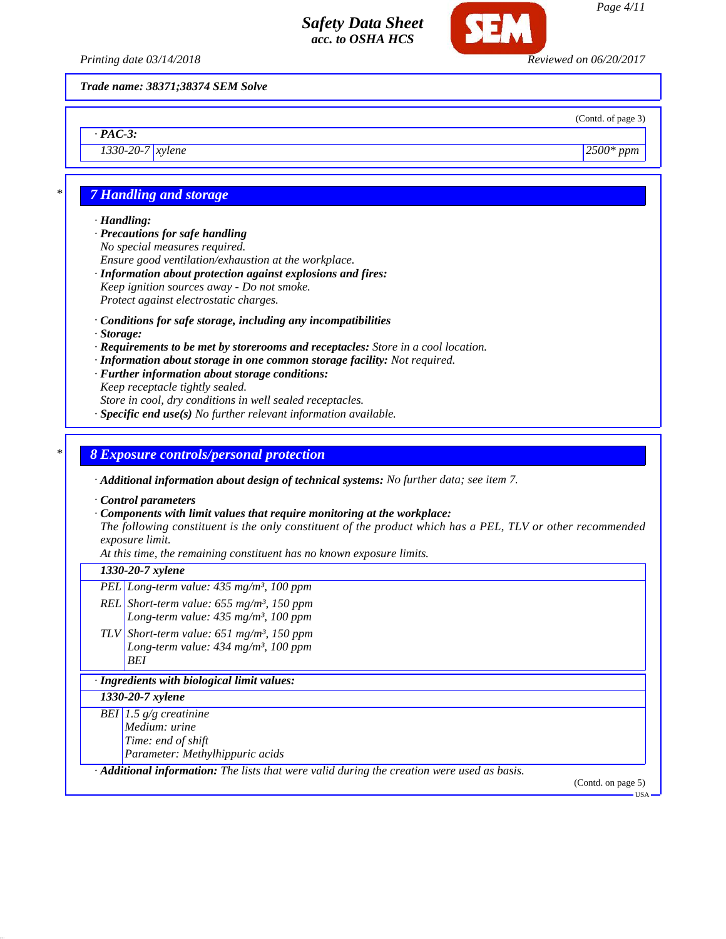

*Trade name: 38371;38374 SEM Solve*

(Contd. of page 3)

*1330-20-7 xylene 2500\* ppm*

## *\* 7 Handling and storage*

#### *· Handling:*

*· PAC-3:*

*· Precautions for safe handling No special measures required. Ensure good ventilation/exhaustion at the workplace. · Information about protection against explosions and fires:*

- *Keep ignition sources away Do not smoke. Protect against electrostatic charges.*
- *· Conditions for safe storage, including any incompatibilities*
- *· Storage:*
- *· Requirements to be met by storerooms and receptacles: Store in a cool location.*
- *· Information about storage in one common storage facility: Not required.*
- *· Further information about storage conditions:*

*Keep receptacle tightly sealed.*

*Store in cool, dry conditions in well sealed receptacles.*

*· Specific end use(s) No further relevant information available.*

#### *\* 8 Exposure controls/personal protection*

*· Additional information about design of technical systems: No further data; see item 7.*

*· Control parameters*

#### *· Components with limit values that require monitoring at the workplace:*

*The following constituent is the only constituent of the product which has a PEL, TLV or other recommended exposure limit.*

*At this time, the remaining constituent has no known exposure limits.*

#### *1330-20-7 xylene*

- *PEL Long-term value: 435 mg/m³, 100 ppm*
- *REL Short-term value: 655 mg/m³, 150 ppm*
	- *Long-term value: 435 mg/m³, 100 ppm*
- *TLV Short-term value: 651 mg/m³, 150 ppm Long-term value: 434 mg/m³, 100 ppm BEI*

#### *· Ingredients with biological limit values:*

#### *1330-20-7 xylene*

*BEI 1.5 g/g creatinine Medium: urine Time: end of shift Parameter: Methylhippuric acids*

*· Additional information: The lists that were valid during the creation were used as basis.*

(Contd. on page 5) USA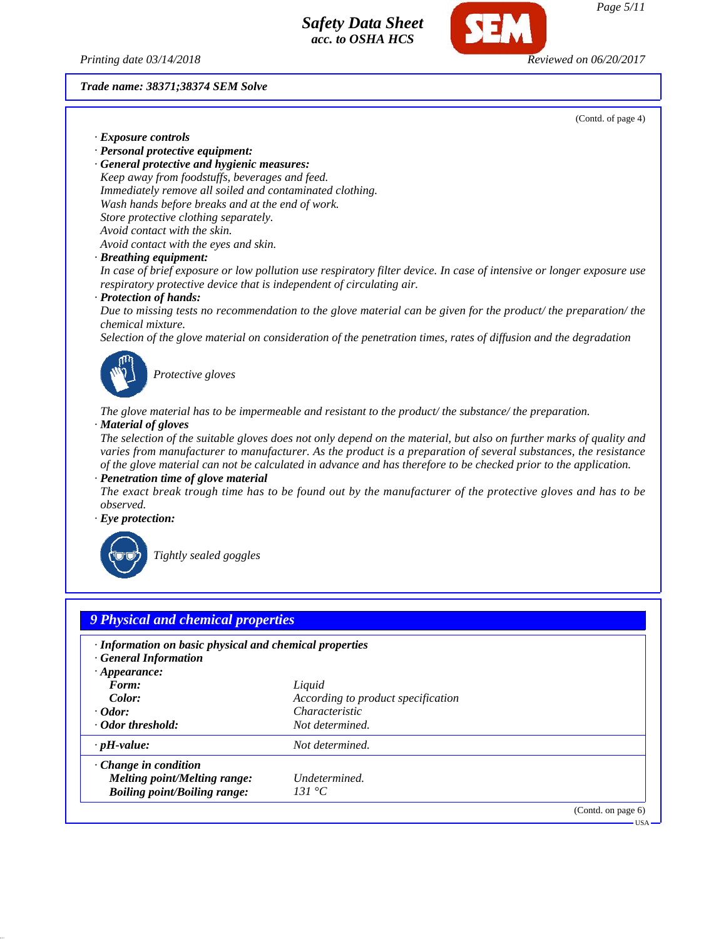



*Page 5/11*

*Trade name: 38371;38374 SEM Solve*

(Contd. of page 4)

- *· Exposure controls*
- *· Personal protective equipment:*

*· General protective and hygienic measures: Keep away from foodstuffs, beverages and feed. Immediately remove all soiled and contaminated clothing. Wash hands before breaks and at the end of work. Store protective clothing separately. Avoid contact with the skin. Avoid contact with the eyes and skin.*

*· Breathing equipment:*

*In case of brief exposure or low pollution use respiratory filter device. In case of intensive or longer exposure use respiratory protective device that is independent of circulating air.*

*· Protection of hands:*

*Due to missing tests no recommendation to the glove material can be given for the product/ the preparation/ the chemical mixture.*

*Selection of the glove material on consideration of the penetration times, rates of diffusion and the degradation*



*Protective gloves*

*The glove material has to be impermeable and resistant to the product/ the substance/ the preparation. · Material of gloves*

*The selection of the suitable gloves does not only depend on the material, but also on further marks of quality and varies from manufacturer to manufacturer. As the product is a preparation of several substances, the resistance of the glove material can not be calculated in advance and has therefore to be checked prior to the application.*

*· Penetration time of glove material*

*The exact break trough time has to be found out by the manufacturer of the protective gloves and has to be observed.*

*· Eye protection:*



*Tightly sealed goggles*

| · Information on basic physical and chemical properties<br>· General Information |                                    |  |
|----------------------------------------------------------------------------------|------------------------------------|--|
| $\cdot$ Appearance:<br>Form:                                                     | Liquid                             |  |
| Color:                                                                           | According to product specification |  |
| $\cdot$ Odor:                                                                    | <i>Characteristic</i>              |  |
| · Odor threshold:                                                                | Not determined.                    |  |
| $\cdot$ pH-value:                                                                | Not determined.                    |  |
| $\cdot$ Change in condition                                                      |                                    |  |
| Melting point/Melting range:                                                     | Undetermined.                      |  |
| <b>Boiling point/Boiling range:</b>                                              | 131 °C                             |  |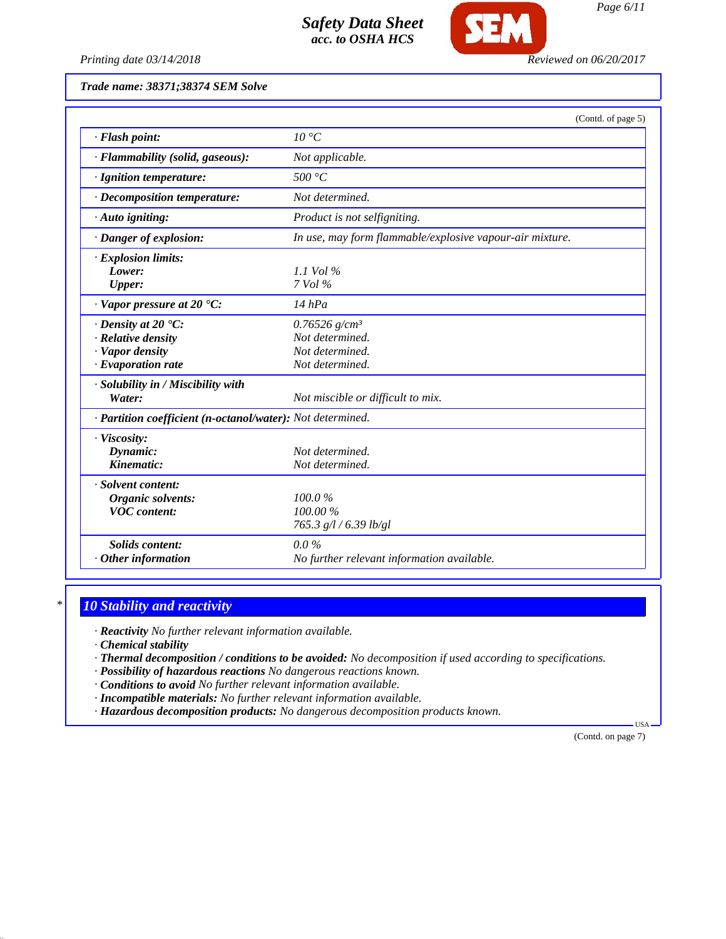

*Printing date 03/14/2018 Reviewed on 06/20/2017*

*Trade name: 38371;38374 SEM Solve*

|                                                                                                             | (Contd. of page 5)                                                                   |
|-------------------------------------------------------------------------------------------------------------|--------------------------------------------------------------------------------------|
| · Flash point:                                                                                              | $10^{\circ}C$                                                                        |
| · Flammability (solid, gaseous):                                                                            | Not applicable.                                                                      |
| · Ignition temperature:                                                                                     | 500 °C                                                                               |
| · Decomposition temperature:                                                                                | Not determined.                                                                      |
| $\cdot$ Auto igniting:                                                                                      | Product is not selfigniting.                                                         |
| · Danger of explosion:                                                                                      | In use, may form flammable/explosive vapour-air mixture.                             |
| $\cdot$ Explosion limits:<br>Lower:<br><b>Upper:</b>                                                        | 1.1 Vol $\%$<br>7 Vol %                                                              |
| $\cdot$ Vapor pressure at 20 $\cdot$ C:                                                                     | $14$ hPa                                                                             |
| $\cdot$ Density at 20 $\textdegree$ C:<br>· Relative density<br>· Vapor density<br>$\cdot$ Evaporation rate | $0.76526$ g/cm <sup>3</sup><br>Not determined.<br>Not determined.<br>Not determined. |
| · Solubility in / Miscibility with<br>Water:                                                                | Not miscible or difficult to mix.                                                    |
| · Partition coefficient (n-octanol/water): Not determined.                                                  |                                                                                      |
| · Viscosity:<br>Dynamic:<br>Kinematic:                                                                      | Not determined.<br>Not determined.                                                   |
| · Solvent content:<br>Organic solvents:<br><b>VOC</b> content:                                              | 100.0%<br>$100.00\%$<br>765.3 g/l / 6.39 lb/gl                                       |
| <b>Solids content:</b><br>Other information                                                                 | $0.0\%$<br>No further relevant information available.                                |

## *\* 10 Stability and reactivity*

*· Reactivity No further relevant information available.*

*· Chemical stability*

*· Thermal decomposition / conditions to be avoided: No decomposition if used according to specifications.*

*· Possibility of hazardous reactions No dangerous reactions known.*

*· Conditions to avoid No further relevant information available.*

- *· Incompatible materials: No further relevant information available.*
- *· Hazardous decomposition products: No dangerous decomposition products known.*

(Contd. on page 7)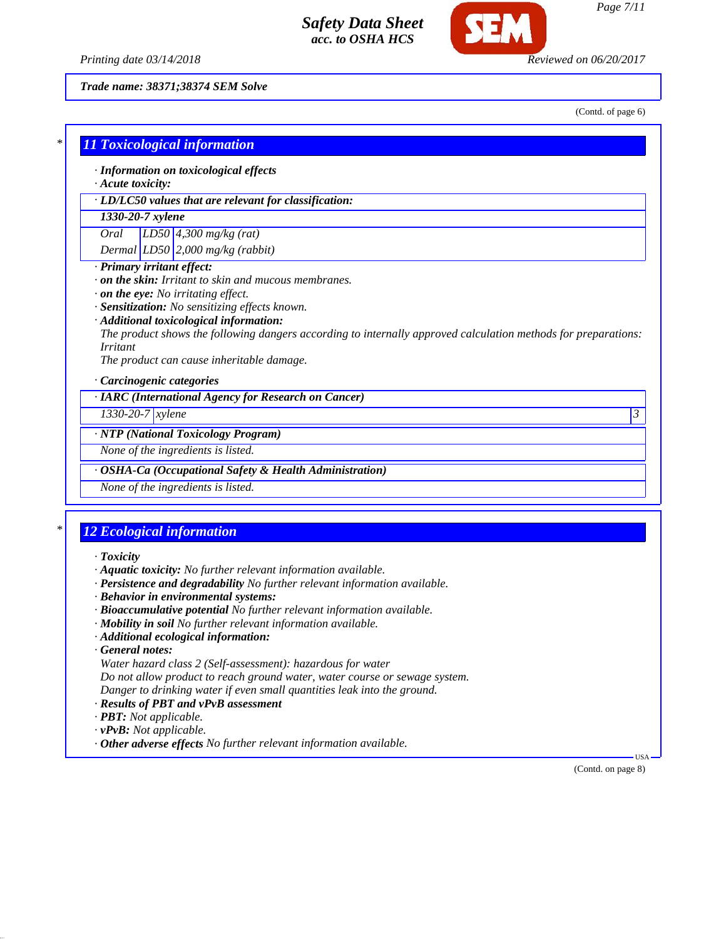

*Trade name: 38371;38374 SEM Solve*

(Contd. of page 6)

|                               | · Information on toxicological effects                                                                         |
|-------------------------------|----------------------------------------------------------------------------------------------------------------|
| $\cdot$ Acute toxicity:       |                                                                                                                |
|                               | · LD/LC50 values that are relevant for classification:                                                         |
| 1330-20-7 xylene              |                                                                                                                |
| Oral                          | $LD50$ 4,300 mg/kg (rat)                                                                                       |
|                               | Dermal $LD50$ 2,000 mg/kg (rabbit)                                                                             |
| · Primary irritant effect:    |                                                                                                                |
|                               | $\cdot$ on the skin: Irritant to skin and mucous membranes.                                                    |
|                               | $\cdot$ on the eye: No irritating effect.                                                                      |
|                               | · Sensitization: No sensitizing effects known.                                                                 |
|                               | · Additional toxicological information:                                                                        |
|                               | The product shows the following dangers according to internally approved calculation methods for preparations: |
| <i>Irritant</i>               |                                                                                                                |
|                               | The product can cause inheritable damage.                                                                      |
|                               | · Carcinogenic categories                                                                                      |
|                               | · IARC (International Agency for Research on Cancer)                                                           |
| $1330 - 20 - 7$ <i>xylene</i> | 3                                                                                                              |
|                               | · NTP (National Toxicology Program)                                                                            |
|                               | None of the ingredients is listed.                                                                             |
|                               |                                                                                                                |
|                               | · OSHA-Ca (Occupational Safety & Health Administration)                                                        |

## *\* 12 Ecological information*

- *· Toxicity*
- *· Aquatic toxicity: No further relevant information available.*
- *· Persistence and degradability No further relevant information available.*
- *· Behavior in environmental systems:*
- *· Bioaccumulative potential No further relevant information available.*
- *· Mobility in soil No further relevant information available.*
- *· Additional ecological information:*
- *· General notes:*

*Water hazard class 2 (Self-assessment): hazardous for water*

*Do not allow product to reach ground water, water course or sewage system.*

- *Danger to drinking water if even small quantities leak into the ground.*
- *· Results of PBT and vPvB assessment*
- *· PBT: Not applicable.*
- *· vPvB: Not applicable.*
- *· Other adverse effects No further relevant information available.*

(Contd. on page 8)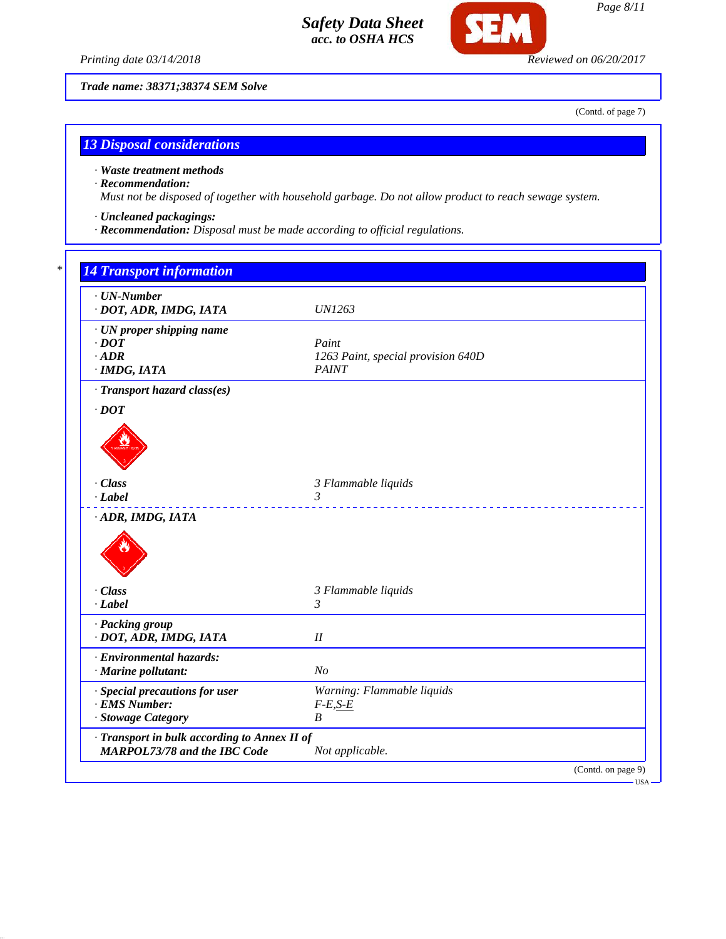

**SFI** 

*Trade name: 38371;38374 SEM Solve*

(Contd. of page 7)

## *13 Disposal considerations*

#### *· Waste treatment methods*

#### *· Recommendation:*

*Must not be disposed of together with household garbage. Do not allow product to reach sewage system.*

- *· Uncleaned packagings:*
- *· Recommendation: Disposal must be made according to official regulations.*

| $\cdot$ UN-Number<br>· DOT, ADR, IMDG, IATA                             | <i>UN1263</i>                                               |
|-------------------------------------------------------------------------|-------------------------------------------------------------|
| · UN proper shipping name<br>$\cdot$ DOT<br>$\cdot$ ADR<br>· IMDG, IATA | Paint<br>1263 Paint, special provision 640D<br><b>PAINT</b> |
| · Transport hazard class(es)                                            |                                                             |
| $\cdot$ DOT                                                             |                                                             |
| $\cdot$ Class                                                           | 3 Flammable liquids                                         |
| $-Label$<br>· ADR, IMDG, IATA                                           | 3                                                           |
|                                                                         |                                                             |
| · Class                                                                 | 3 Flammable liquids                                         |
| · Label                                                                 | $\mathfrak{Z}$                                              |
| · Packing group<br>· DOT, ADR, IMDG, IATA                               | $I\!I$                                                      |
| · Environmental hazards:<br>· Marine pollutant:                         | N <sub>o</sub>                                              |
| · Special precautions for user<br>· EMS Number:<br>· Stowage Category   | Warning: Flammable liquids<br>$F-E, S-E$<br>B               |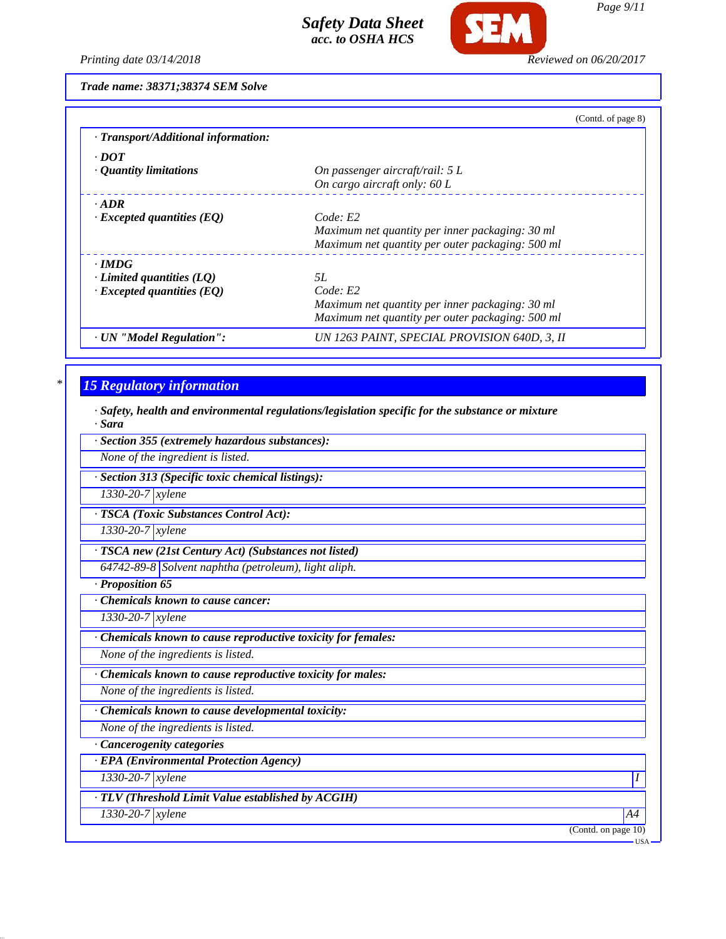

*Printing date 03/14/2018 Reviewed on 06/20/2017*

*Trade name: 38371;38374 SEM Solve*

|                                     | (Contd. of page 8)                               |
|-------------------------------------|--------------------------------------------------|
| · Transport/Additional information: |                                                  |
| $\cdot$ DOT                         |                                                  |
| $\cdot$ Quantity limitations        | On passenger aircraft/rail: $5 L$                |
|                                     | On cargo aircraft only: $60 L$                   |
| $\cdot$ ADR                         |                                                  |
| $\cdot$ Excepted quantities (EQ)    | Code: E2                                         |
|                                     | Maximum net quantity per inner packaging: 30 ml  |
|                                     | Maximum net quantity per outer packaging: 500 ml |
| $\cdot$ IMDG                        |                                                  |
| $\cdot$ Limited quantities (LQ)     | .5L                                              |
| $\cdot$ Excepted quantities (EQ)    | Code: E2                                         |
|                                     | Maximum net quantity per inner packaging: 30 ml  |
|                                     | Maximum net quantity per outer packaging: 500 ml |
| · UN "Model Regulation":            | UN 1263 PAINT, SPECIAL PROVISION 640D, 3, II     |

# *\* 15 Regulatory information*

*· Safety, health and environmental regulations/legislation specific for the substance or mixture · Sara*

| suru                                                        |
|-------------------------------------------------------------|
| · Section 355 (extremely hazardous substances):             |
| None of the ingredient is listed.                           |
| · Section 313 (Specific toxic chemical listings):           |
| $1330 - 20 - 7$ xylene                                      |
| · TSCA (Toxic Substances Control Act):                      |
| 1330-20-7 xylene                                            |
| · TSCA new (21st Century Act) (Substances not listed)       |
| $64742-89-8$ Solvent naphtha (petroleum), light aliph.      |
| · Proposition 65                                            |
| Chemicals known to cause cancer:                            |
| 1330-20-7 xylene                                            |
| Chemicals known to cause reproductive toxicity for females: |
| None of the ingredients is listed.                          |
| Chemicals known to cause reproductive toxicity for males:   |
| None of the ingredients is listed.                          |
| · Chemicals known to cause developmental toxicity:          |
| None of the ingredients is listed.                          |
| · Cancerogenity categories                                  |
| · EPA (Environmental Protection Agency)                     |
| 1330-20-7 xylene<br>Ι                                       |
| · TLV (Threshold Limit Value established by ACGIH)          |
| $1330 - 20 - 7$ <i>xylene</i><br>A4                         |
| (Contd. on page 10)                                         |
| - USA                                                       |

*Page 9/11*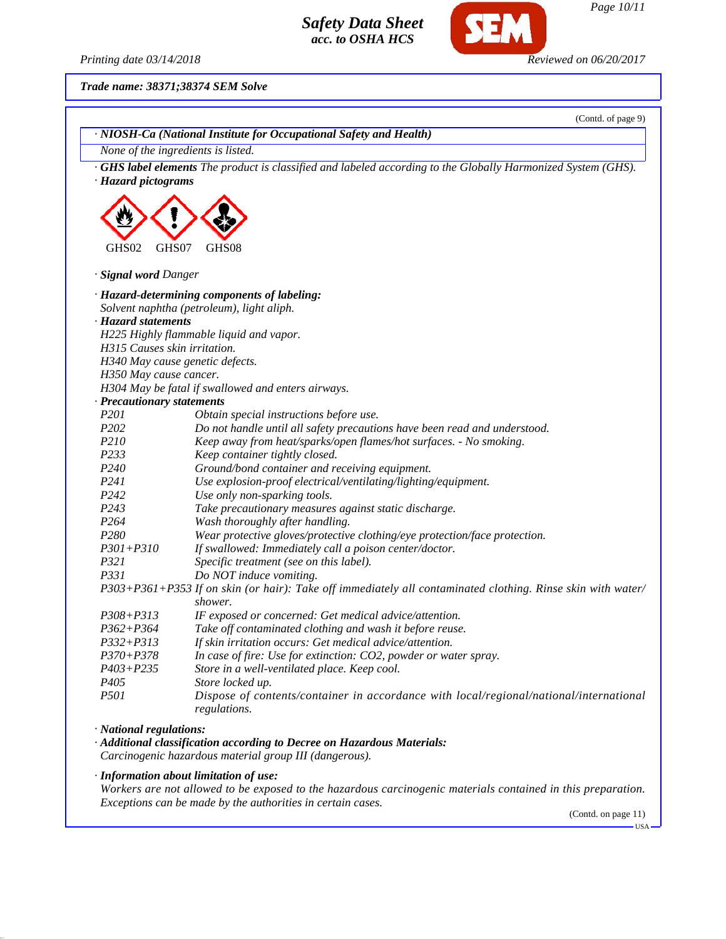

SEM

*Page 10/11*

*Printing date 03/14/2018 Reviewed on 06/20/2017*

*Trade name: 38371;38374 SEM Solve*

|                              | (Contd. of page 9)<br>· NIOSH-Ca (National Institute for Occupational Safety and Health)                                          |
|------------------------------|-----------------------------------------------------------------------------------------------------------------------------------|
|                              | None of the ingredients is listed.                                                                                                |
|                              | <b>GHS label elements</b> The product is classified and labeled according to the Globally Harmonized System (GHS).                |
| · Hazard pictograms          |                                                                                                                                   |
|                              |                                                                                                                                   |
|                              |                                                                                                                                   |
|                              |                                                                                                                                   |
|                              |                                                                                                                                   |
| GHS02<br>GHS07               | GHS08                                                                                                                             |
| · Signal word Danger         |                                                                                                                                   |
|                              | · Hazard-determining components of labeling:                                                                                      |
|                              | Solvent naphtha (petroleum), light aliph.                                                                                         |
| · Hazard statements          |                                                                                                                                   |
|                              | H225 Highly flammable liquid and vapor.                                                                                           |
| H315 Causes skin irritation. |                                                                                                                                   |
|                              | H340 May cause genetic defects.                                                                                                   |
| H350 May cause cancer.       |                                                                                                                                   |
|                              | H304 May be fatal if swallowed and enters airways.                                                                                |
| · Precautionary statements   |                                                                                                                                   |
| P201                         | Obtain special instructions before use.                                                                                           |
| P <sub>202</sub>             | Do not handle until all safety precautions have been read and understood.                                                         |
| P210                         | Keep away from heat/sparks/open flames/hot surfaces. - No smoking.                                                                |
| P233                         | Keep container tightly closed.                                                                                                    |
| P <sub>240</sub>             | Ground/bond container and receiving equipment.                                                                                    |
| P241                         | Use explosion-proof electrical/ventilating/lighting/equipment.                                                                    |
| P242                         | Use only non-sparking tools.                                                                                                      |
| P <sub>243</sub>             | Take precautionary measures against static discharge.                                                                             |
| P <sub>264</sub>             | Wash thoroughly after handling.                                                                                                   |
| P <sub>280</sub>             | Wear protective gloves/protective clothing/eye protection/face protection.                                                        |
| $P301 + P310$                | If swallowed: Immediately call a poison center/doctor.                                                                            |
| <i>P321</i>                  | Specific treatment (see on this label).                                                                                           |
| P331                         | Do NOT induce vomiting.                                                                                                           |
|                              | P303+P361+P353 If on skin (or hair): Take off immediately all contaminated clothing. Rinse skin with water/<br>shower.            |
| $P308 + P313$                | IF exposed or concerned: Get medical advice/attention.                                                                            |
| $P362 + P364$                | Take off contaminated clothing and wash it before reuse.                                                                          |
| $P332 + P313$                | If skin irritation occurs: Get medical advice/attention.                                                                          |
| $P370 + P378$                | In case of fire: Use for extinction: CO2, powder or water spray.                                                                  |
| $P403 + P235$                | Store in a well-ventilated place. Keep cool.                                                                                      |
| P <sub>405</sub>             | Store locked up.                                                                                                                  |
| <i>P501</i>                  | Dispose of contents/container in accordance with local/regional/national/international                                            |
|                              | regulations.                                                                                                                      |
| · National regulations:      |                                                                                                                                   |
|                              | · Additional classification according to Decree on Hazardous Materials:<br>Carcinogenic hazardous material group III (dangerous). |
|                              | · Information about limitation of use:                                                                                            |
|                              | Workers are not allowed to be exposed to the hazardous carcinogenic materials contained in this preparation.                      |
|                              | Exceptions can be made by the authorities in certain cases.                                                                       |

(Contd. on page 11)

 $-$ USA $-$